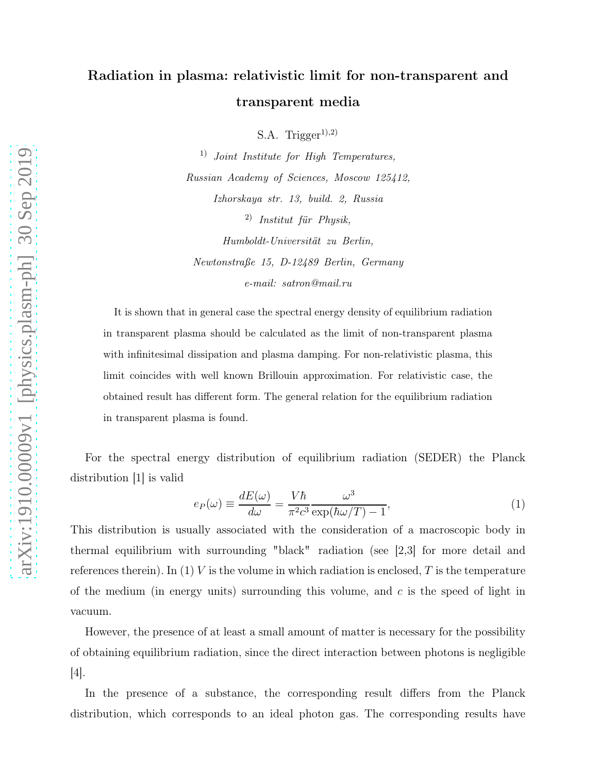## Radiation in plasma: relativistic limit for non-transparent and transparent media

S.A. Trigger<sup>1),2)</sup>

1) Joint Institute for High Temperatures, Russian Academy of Sciences, Moscow 125412, Izhorskaya str. 13, build. 2, Russia  $^{2)}$  Institut für Physik, Humboldt-Universität zu Berlin,

Newtonstraße 15, D-12489 Berlin, Germany е-mail: satron@mail.ru

It is shown that in general case the spectral energy density of equilibrium radiation in transparent plasma should be calculated as the limit of non-transparent plasma with infinitesimal dissipation and plasma damping. For non-relativistic plasma, this limit coincides with well known Brillouin approximation. For relativistic case, the obtained result has different form. The general relation for the equilibrium radiation in transparent plasma is found.

For the spectral energy distribution of equilibrium radiation (SEDER) the Planck distribution [1] is valid

$$
e_P(\omega) \equiv \frac{dE(\omega)}{d\omega} = \frac{V\hbar}{\pi^2 c^3} \frac{\omega^3}{\exp(\hbar\omega/T) - 1},\tag{1}
$$

This distribution is usually associated with the consideration of a macroscopic body in thermal equilibrium with surrounding "black" radiation (see [2,3] for more detail and references therein). In (1) V is the volume in which radiation is enclosed, T is the temperature of the medium (in energy units) surrounding this volume, and  $c$  is the speed of light in vacuum.

However, the presence of at least a small amount of matter is necessary for the possibility of obtaining equilibrium radiation, since the direct interaction between photons is negligible [4].

In the presence of a substance, the corresponding result differs from the Planck distribution, which corresponds to an ideal photon gas. The corresponding results have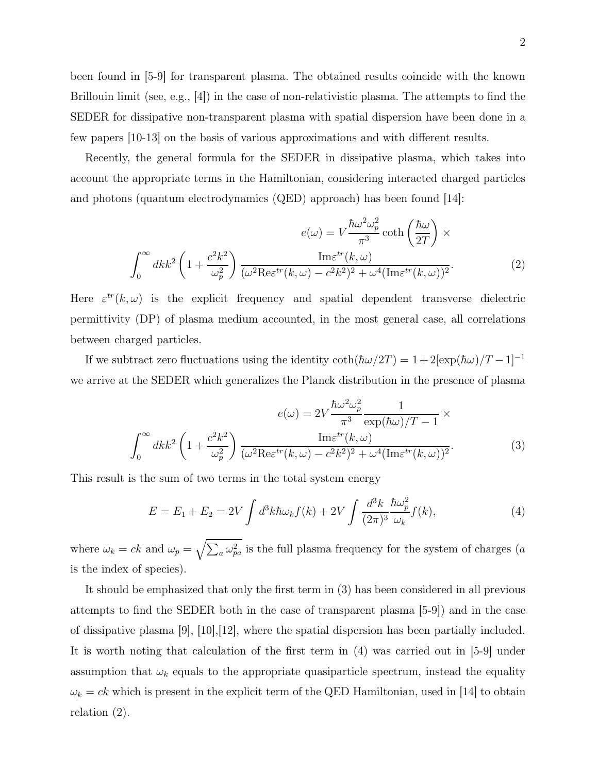been found in [5-9] for transparent plasma. The obtained results coincide with the known Brillouin limit (see, e.g.,  $[4]$ ) in the case of non-relativistic plasma. The attempts to find the SEDER for dissipative non-transparent plasma with spatial dispersion have been done in a few papers [10-13] on the basis of various approximations and with different results.

Recently, the general formula for the SEDER in dissipative plasma, which takes into account the appropriate terms in the Hamiltonian, considering interacted charged particles and photons (quantum electrodynamics  $(QED)$  approach) has been found  $[14]$ :

$$
e(\omega) = V \frac{\hbar \omega^2 \omega_p^2}{\pi^3} \coth\left(\frac{\hbar \omega}{2T}\right) \times \int_0^\infty dk k^2 \left(1 + \frac{c^2 k^2}{\omega_p^2}\right) \frac{\text{Im}\varepsilon^{tr}(k,\omega)}{(\omega^2 \text{Re}\varepsilon^{tr}(k,\omega) - c^2 k^2)^2 + \omega^4 (\text{Im}\varepsilon^{tr}(k,\omega))^2}.
$$
 (2)

Here  $\varepsilon^{tr}(k,\omega)$  is the explicit frequency and spatial dependent transverse dielectric permittivity (DP) of plasma medium accounted, in the most general case, all correlations between charged particles.

If we subtract zero fluctuations using the identity  $\coth(\hbar\omega/2T) = 1 + 2[\exp(\hbar\omega)/T - 1]^{-1}$ we arrive at the SEDER which generalizes the Planck distribution in the presence of plasma

$$
e(\omega) = 2V \frac{\hbar \omega^2 \omega_p^2}{\pi^3} \frac{1}{\exp(\hbar \omega)/T - 1} \times \int_0^\infty dk k^2 \left(1 + \frac{c^2 k^2}{\omega_p^2}\right) \frac{\text{Im}\varepsilon^{tr}(k, \omega)}{(\omega^2 \text{Re}\varepsilon^{tr}(k, \omega) - c^2 k^2)^2 + \omega^4 (\text{Im}\varepsilon^{tr}(k, \omega))^2}.
$$
 (3)

This result is the sum of two terms in the total system energy

$$
E = E_1 + E_2 = 2V \int d^3k \hbar \omega_k f(k) + 2V \int \frac{d^3k}{(2\pi)^3} \frac{\hbar \omega_p^2}{\omega_k} f(k), \tag{4}
$$

where  $\omega_k = ck$  and  $\omega_p = \sqrt{\sum_a \omega_{pa}^2}$  is the full plasma frequency for the system of charges (a is the index of species).

It should be emphasized that only the first term in (3) has been considered in all previous attempts to find the SEDER both in the case of transparent plasma [5-9]) and in the case of dissipative plasma [9], [10],[12], where the spatial dispersion has been partially included. It is worth noting that calculation of the first term in (4) was carried out in [5-9] under assumption that  $\omega_k$  equals to the appropriate quasiparticle spectrum, instead the equality  $\omega_k = ck$  which is present in the explicit term of the QED Hamiltonian, used in [14] to obtain relation (2).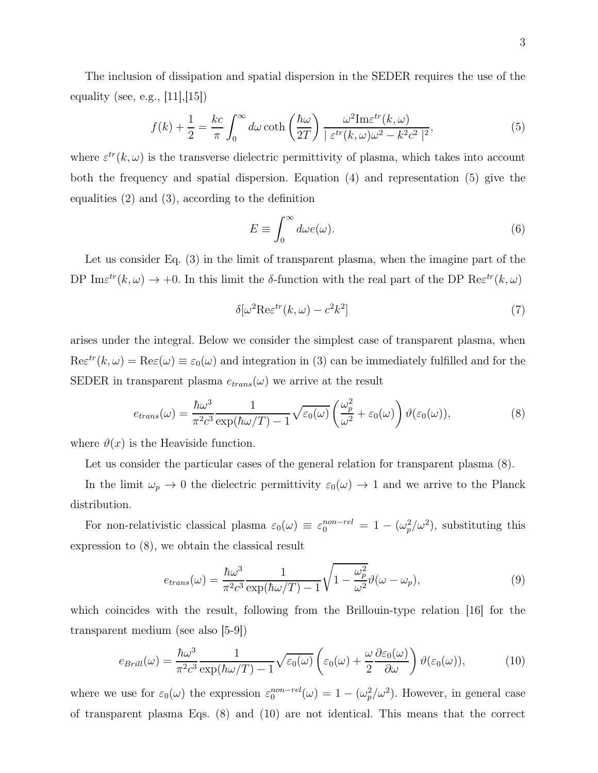The inclusion of dissipation and spatial dispersion in the SEDER requires the use of the equality (see, e.g., [11],[15])

$$
f(k) + \frac{1}{2} = \frac{kc}{\pi} \int_0^\infty d\omega \coth\left(\frac{\hbar\omega}{2T}\right) \frac{\omega^2 \text{Im}\varepsilon^{tr}(k,\omega)}{|\varepsilon^{tr}(k,\omega)\omega^2 - k^2 c^2|^2},\tag{5}
$$

where  $\varepsilon^{tr}(k,\omega)$  is the transverse dielectric permittivity of plasma, which takes into account both the frequency and spatial dispersion. Equation (4) and representation (5) give the equalities (2) and (3), according to the definition

$$
E \equiv \int_0^\infty d\omega e(\omega). \tag{6}
$$

Let us consider Eq. (3) in the limit of transparent plasma, when the imagine part of the DP Im $\varepsilon^{tr}(k,\omega) \to +0$ . In this limit the δ-function with the real part of the DP Re $\varepsilon^{tr}(k,\omega)$ 

$$
\delta[\omega^2 \text{Re}\varepsilon^{tr}(k,\omega) - c^2 k^2]
$$
\n(7)

arises under the integral. Below we consider the simplest case of transparent plasma, when  $\text{Re}\varepsilon^{tr}(k,\omega) = \text{Re}\varepsilon(\omega) \equiv \varepsilon_0(\omega)$  and integration in (3) can be immediately fulfilled and for the SEDER in transparent plasma  $e_{trans}(\omega)$  we arrive at the result

$$
e_{trans}(\omega) = \frac{\hbar\omega^3}{\pi^2 c^3} \frac{1}{\exp(\hbar\omega/T) - 1} \sqrt{\varepsilon_0(\omega)} \left(\frac{\omega_p^2}{\omega^2} + \varepsilon_0(\omega)\right) \vartheta(\varepsilon_0(\omega)),\tag{8}
$$

where  $\vartheta(x)$  is the Heaviside function.

Let us consider the particular cases of the general relation for transparent plasma  $(8)$ .

In the limit  $\omega_p \to 0$  the dielectric permittivity  $\varepsilon_0(\omega) \to 1$  and we arrive to the Planck distribution.

For non-relativistic classical plasma  $\varepsilon_0(\omega) \equiv \varepsilon_0^{non-rel} = 1 - (\omega_p^2/\omega^2)$ , substituting this expression to (8), we obtain the classical result

$$
e_{trans}(\omega) = \frac{\hbar\omega^3}{\pi^2 c^3} \frac{1}{\exp(\hbar\omega/T) - 1} \sqrt{1 - \frac{\omega_p^2}{\omega^2}} \vartheta(\omega - \omega_p),\tag{9}
$$

which coincides with the result, following from the Brillouin-type relation [16] for the transparent medium (see also [5-9])

$$
e_{Brill}(\omega) = \frac{\hbar\omega^3}{\pi^2 c^3} \frac{1}{\exp(\hbar\omega/T) - 1} \sqrt{\varepsilon_0(\omega)} \left(\varepsilon_0(\omega) + \frac{\omega}{2} \frac{\partial \varepsilon_0(\omega)}{\partial \omega}\right) \vartheta(\varepsilon_0(\omega)),\tag{10}
$$

where we use for  $\varepsilon_0(\omega)$  the expression  $\varepsilon_0^{non-rel}(\omega) = 1 - (\omega_p^2/\omega^2)$ . However, in general case of transparent plasma Eqs. (8) and (10) are not identical. This means that the correct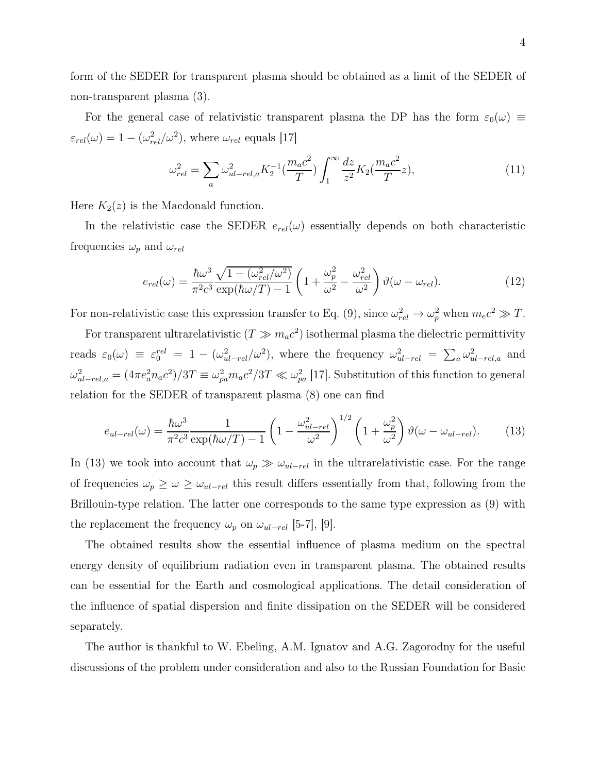form of the SEDER for transparent plasma should be obtained as a limit of the SEDER of non-transparent plasma (3).

For the general case of relativistic transparent plasma the DP has the form  $\varepsilon_0(\omega) \equiv$  $\varepsilon_{rel}(\omega) = 1 - (\omega_{rel}^2/\omega^2)$ , where  $\omega_{rel}$  equals [17]

$$
\omega_{rel}^2 = \sum_a \omega_{ul-rel,a}^2 K_2^{-1} \left(\frac{m_a c^2}{T}\right) \int_1^\infty \frac{dz}{z^2} K_2 \left(\frac{m_a c^2}{T} z\right),\tag{11}
$$

Here  $K_2(z)$  is the Macdonald function.

In the relativistic case the SEDER  $e_{rel}(\omega)$  essentially depends on both characteristic frequencies  $\omega_p$  and  $\omega_{rel}$ 

$$
e_{rel}(\omega) = \frac{\hbar\omega^3}{\pi^2 c^3} \frac{\sqrt{1 - (\omega_{rel}^2/\omega^2)}}{\exp(\hbar\omega/T) - 1} \left(1 + \frac{\omega_p^2}{\omega^2} - \frac{\omega_{rel}^2}{\omega^2}\right) \vartheta(\omega - \omega_{rel}). \tag{12}
$$

For non-relativistic case this expression transfer to Eq. (9), since  $\omega_{rel}^2 \to \omega_p^2$  when  $m_ec^2 \gg T$ .

For transparent ultrarelativistic  $(T \gg m_a c^2)$  isothermal plasma the dielectric permittivity reads  $\varepsilon_0(\omega) \equiv \varepsilon_0^{rel} = 1 - (\omega_{ul-rel}^2/\omega^2)$ , where the frequency  $\omega_{ul-rel}^2 = \sum_a \omega_{ul-rel,a}^2$  and  $\omega_{ul-rel,a}^2 = (4\pi e_a^2 n_a c^2)/3T \equiv \omega_{pa}^2 m_a c^2/3T \ll \omega_{pa}^2$  [17]. Substitution of this function to general relation for the SEDER of transparent plasma (8) one can find

$$
e_{ul-rel}(\omega) = \frac{\hbar\omega^3}{\pi^2 c^3} \frac{1}{\exp(\hbar\omega/T) - 1} \left(1 - \frac{\omega_{ul-rel}^2}{\omega^2}\right)^{1/2} \left(1 + \frac{\omega_p^2}{\omega^2}\right) \vartheta(\omega - \omega_{ul-rel}). \tag{13}
$$

In (13) we took into account that  $\omega_p \gg \omega_{ul-rel}$  in the ultrarelativistic case. For the range of frequencies  $\omega_p \geq \omega \geq \omega_{ul-rel}$  this result differs essentially from that, following from the Brillouin-type relation. The latter one corresponds to the same type expression as (9) with the replacement the frequency  $\omega_p$  on  $\omega_{ul-rel}$  [5-7], [9].

The obtained results show the essential influence of plasma medium on the spectral energy density of equilibrium radiation even in transparent plasma. The obtained results can be essential for the Earth and cosmological applications. The detail consideration of the influence of spatial dispersion and finite dissipation on the SEDER will be considered separately.

The author is thankful to W. Ebeling, A.M. Ignatov and A.G. Zagorodny for the useful discussions of the problem under consideration and also to the Russian Foundation for Basic